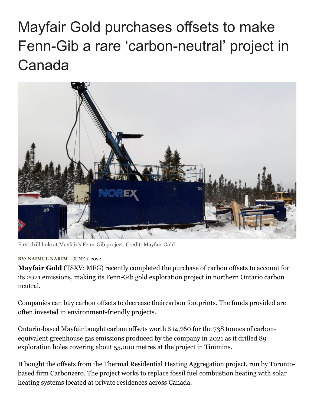## Mayfair Gold purchases offsets to make Fenn-Gib a rare 'carbon-neutral' project in Canada



First drill hole at Mayfair's Fenn-Gib project. Credit: Mayfair Gold

## **BY: [NAIMUL KARIM](https://www.northernminer.com/author/nkarimnorthernminer-com/)** JUNE 1, 2022

**Mayfair Gold** (TSXV: MFG) recently completed the purchase of carbon offsets to account for its 2021 emissions, making its Fenn-Gib gold exploration project in northern Ontario carbon neutral.

Companies can buy carbon offsets to decrease theircarbon footprints. The funds provided are often invested in environment-friendly projects.

Ontario-based Mayfair bought carbon offsets worth \$14,760 for the 738 tonnes of carbonequivalent greenhouse gas emissions produced by the company in 2021 as it drilled 89 exploration holes covering about 55,000 metres at the project in Timmins.

It bought the offsets from the Thermal Residential Heating Aggregation project, run by Torontobased firm Carbonzero. The project works to replace fossil fuel combustion heating with solar heating systems located at private residences across Canada.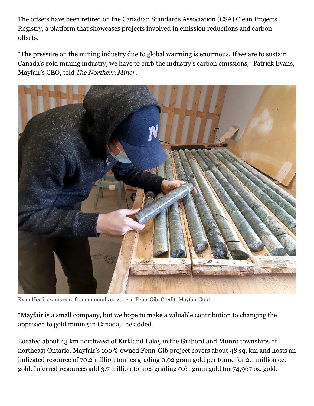The offsets have been retired on the Canadian Standards Association (CSA) Clean Projects Registry, a platform that showcases projects involved in emission reductions and carbon offsets.

"The pressure on the mining industry due to global warming is enormous. If we are to sustain Canada's gold mining industry, we have to curb the industry's carbon emissions," Patrick Evans, Mayfair's CEO, told *The Northern Miner.*



Ryan Hoefs exams core from mineralized zone at Fenn-Gib. Credit: Mayfair Gold

"Mayfair is a small company, but we hope to make a valuable contribution to changing the approach to gold mining in Canada," he added.

Located about 43 km northwest of Kirkland Lake, in the Guibord and Munro townships of northeast Ontario, Mayfair's 100%-owned Fenn-Gib project covers about 48 sq. km and hosts an indicated resource of 70.2 million tonnes grading 0.92 gram gold per tonne for 2.1 million oz. gold. Inferred resources add 3.7 million tonnes grading 0.61 gram gold for 74,967 oz. gold.